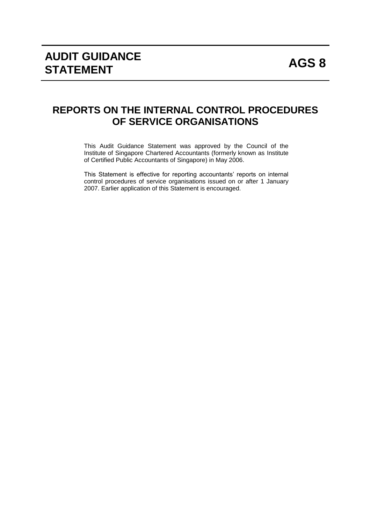# **REPORTS ON THE INTERNAL CONTROL PROCEDURES OF SERVICE ORGANISATIONS**

This Audit Guidance Statement was approved by the Council of the Institute of Singapore Chartered Accountants (formerly known as Institute of Certified Public Accountants of Singapore) in May 2006.

This Statement is effective for reporting accountants' reports on internal control procedures of service organisations issued on or after 1 January 2007. Earlier application of this Statement is encouraged.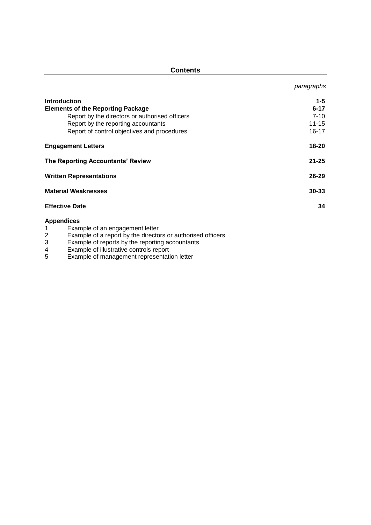| <b>Contents</b>                                      |            |  |
|------------------------------------------------------|------------|--|
|                                                      | paragraphs |  |
| <b>Introduction</b>                                  | $1 - 5$    |  |
| <b>Elements of the Reporting Package</b>             | $6 - 17$   |  |
| Report by the directors or authorised officers       | $7 - 10$   |  |
| Report by the reporting accountants                  | $11 - 15$  |  |
| Report of control objectives and procedures          | 16-17      |  |
| <b>Engagement Letters</b>                            | 18-20      |  |
| The Reporting Accountants' Review                    | $21 - 25$  |  |
| <b>Written Representations</b>                       | $26 - 29$  |  |
| <b>Material Weaknesses</b>                           | $30 - 33$  |  |
| <b>Effective Date</b>                                | 34         |  |
| <b>Appendices</b><br>Example of an engagement letter |            |  |

- 2 Example of a report by the directors or authorised officers
- 3 Example of reports by the reporting accountants
- 4 Example of illustrative controls report
- 5 Example of management representation letter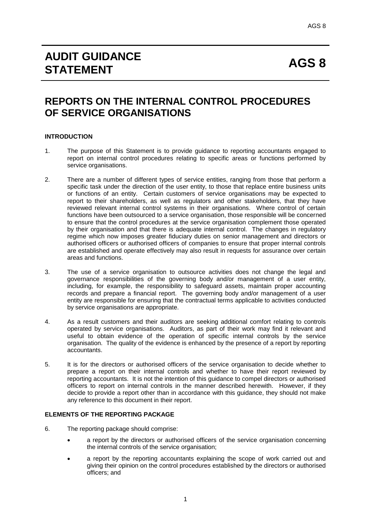# **REPORTS ON THE INTERNAL CONTROL PROCEDURES OF SERVICE ORGANISATIONS**

# **INTRODUCTION**

- 1. The purpose of this Statement is to provide guidance to reporting accountants engaged to report on internal control procedures relating to specific areas or functions performed by service organisations.
- 2. There are a number of different types of service entities, ranging from those that perform a specific task under the direction of the user entity, to those that replace entire business units or functions of an entity. Certain customers of service organisations may be expected to report to their shareholders, as well as regulators and other stakeholders, that they have reviewed relevant internal control systems in their organisations. Where control of certain functions have been outsourced to a service organisation, those responsible will be concerned to ensure that the control procedures at the service organisation complement those operated by their organisation and that there is adequate internal control. The changes in regulatory regime which now imposes greater fiduciary duties on senior management and directors or authorised officers or authorised officers of companies to ensure that proper internal controls are established and operate effectively may also result in requests for assurance over certain areas and functions.
- 3. The use of a service organisation to outsource activities does not change the legal and governance responsibilities of the governing body and/or management of a user entity, including, for example, the responsibility to safeguard assets, maintain proper accounting records and prepare a financial report. The governing body and/or management of a user entity are responsible for ensuring that the contractual terms applicable to activities conducted by service organisations are appropriate.
- 4. As a result customers and their auditors are seeking additional comfort relating to controls operated by service organisations. Auditors, as part of their work may find it relevant and useful to obtain evidence of the operation of specific internal controls by the service organisation. The quality of the evidence is enhanced by the presence of a report by reporting accountants.
- 5. It is for the directors or authorised officers of the service organisation to decide whether to prepare a report on their internal controls and whether to have their report reviewed by reporting accountants. It is not the intention of this guidance to compel directors or authorised officers to report on internal controls in the manner described herewith. However, if they decide to provide a report other than in accordance with this guidance, they should not make any reference to this document in their report.

# **ELEMENTS OF THE REPORTING PACKAGE**

- 6. The reporting package should comprise:
	- a report by the directors or authorised officers of the service organisation concerning the internal controls of the service organisation;
	- a report by the reporting accountants explaining the scope of work carried out and giving their opinion on the control procedures established by the directors or authorised officers; and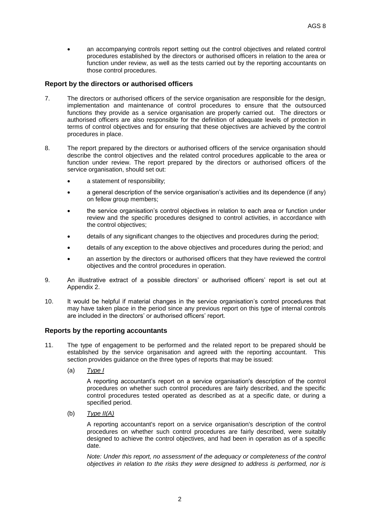an accompanying controls report setting out the control objectives and related control procedures established by the directors or authorised officers in relation to the area or function under review, as well as the tests carried out by the reporting accountants on those control procedures.

# **Report by the directors or authorised officers**

- 7. The directors or authorised officers of the service organisation are responsible for the design, implementation and maintenance of control procedures to ensure that the outsourced functions they provide as a service organisation are properly carried out. The directors or authorised officers are also responsible for the definition of adequate levels of protection in terms of control objectives and for ensuring that these objectives are achieved by the control procedures in place.
- 8. The report prepared by the directors or authorised officers of the service organisation should describe the control objectives and the related control procedures applicable to the area or function under review. The report prepared by the directors or authorised officers of the service organisation, should set out:
	- a statement of responsibility;
	- a general description of the service organisation's activities and its dependence (if any) on fellow group members;
	- the service organisation's control objectives in relation to each area or function under review and the specific procedures designed to control activities, in accordance with the control objectives;
	- details of any significant changes to the objectives and procedures during the period;
	- details of any exception to the above objectives and procedures during the period; and
	- an assertion by the directors or authorised officers that they have reviewed the control objectives and the control procedures in operation.
- 9. An illustrative extract of a possible directors' or authorised officers' report is set out at Appendix 2.
- 10. It would be helpful if material changes in the service organisation's control procedures that may have taken place in the period since any previous report on this type of internal controls are included in the directors' or authorised officers' report.

# **Reports by the reporting accountants**

- 11. The type of engagement to be performed and the related report to be prepared should be established by the service organisation and agreed with the reporting accountant. This section provides guidance on the three types of reports that may be issued:
	- (a) *Type I*

A reporting accountant's report on a service organisation's description of the control procedures on whether such control procedures are fairly described, and the specific control procedures tested operated as described as at a specific date, or during a specified period.

(b) *Type II(A)*

A reporting accountant's report on a service organisation's description of the control procedures on whether such control procedures are fairly described, were suitably designed to achieve the control objectives, and had been in operation as of a specific date.

*Note: Under this report, no assessment of the adequacy or completeness of the control objectives in relation to the risks they were designed to address is performed, nor is*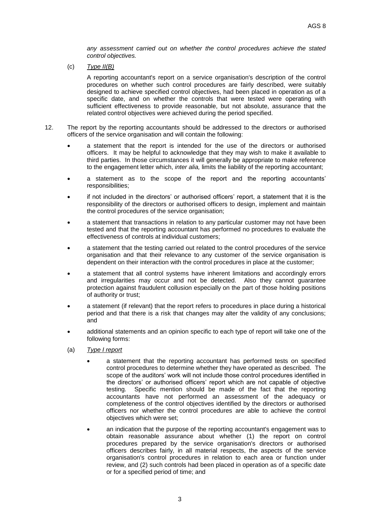*any assessment carried out on whether the control procedures achieve the stated control objectives.*

(c) *Type II(B)*

A reporting accountant's report on a service organisation's description of the control procedures on whether such control procedures are fairly described, were suitably designed to achieve specified control objectives, had been placed in operation as of a specific date, and on whether the controls that were tested were operating with sufficient effectiveness to provide reasonable, but not absolute, assurance that the related control objectives were achieved during the period specified.

- 12. The report by the reporting accountants should be addressed to the directors or authorised officers of the service organisation and will contain the following:
	- a statement that the report is intended for the use of the directors or authorised officers. It may be helpful to acknowledge that they may wish to make it available to third parties. In those circumstances it will generally be appropriate to make reference to the engagement letter which, *inter alia,* limits the liability of the reporting accountant;
	- a statement as to the scope of the report and the reporting accountants' responsibilities;
	- if not included in the directors' or authorised officers' report, a statement that it is the responsibility of the directors or authorised officers to design, implement and maintain the control procedures of the service organisation;
	- a statement that transactions in relation to any particular customer may not have been tested and that the reporting accountant has performed no procedures to evaluate the effectiveness of controls at individual customers;
	- a statement that the testing carried out related to the control procedures of the service organisation and that their relevance to any customer of the service organisation is dependent on their interaction with the control procedures in place at the customer;
	- a statement that all control systems have inherent limitations and accordingly errors and irregularities may occur and not be detected. Also they cannot guarantee protection against fraudulent collusion especially on the part of those holding positions of authority or trust;
	- a statement (if relevant) that the report refers to procedures in place during a historical period and that there is a risk that changes may alter the validity of any conclusions; and
	- additional statements and an opinion specific to each type of report will take one of the following forms:
	- (a) *Type I report*
		- a statement that the reporting accountant has performed tests on specified control procedures to determine whether they have operated as described. The scope of the auditors' work will not include those control procedures identified in the directors' or authorised officers' report which are not capable of objective testing. Specific mention should be made of the fact that the reporting accountants have not performed an assessment of the adequacy or completeness of the control objectives identified by the directors or authorised officers nor whether the control procedures are able to achieve the control objectives which were set;
		- an indication that the purpose of the reporting accountant's engagement was to obtain reasonable assurance about whether (1) the report on control procedures prepared by the service organisation's directors or authorised officers describes fairly, in all material respects, the aspects of the service organisation's control procedures in relation to each area or function under review, and (2) such controls had been placed in operation as of a specific date or for a specified period of time; and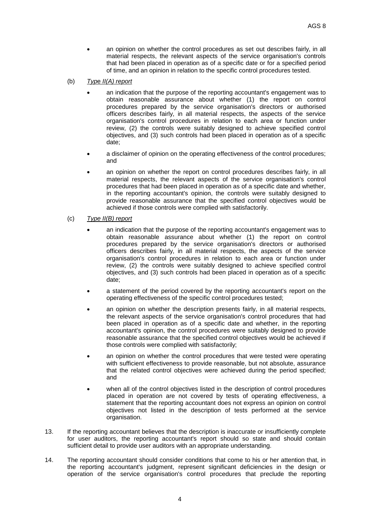- an opinion on whether the control procedures as set out describes fairly, in all material respects, the relevant aspects of the service organisation's controls that had been placed in operation as of a specific date or for a specified period of time, and an opinion in relation to the specific control procedures tested.
- (b) *Typ*e *II(A) report*
	- an indication that the purpose of the reporting accountant's engagement was to obtain reasonable assurance about whether (1) the report on control procedures prepared by the service organisation's directors or authorised officers describes fairly, in all material respects, the aspects of the service organisation's control procedures in relation to each area or function under review, (2) the controls were suitably designed to achieve specified control objectives, and (3) such controls had been placed in operation as of a specific date;
	- a disclaimer of opinion on the operating effectiveness of the control procedures; and
	- an opinion on whether the report on control procedures describes fairly, in all material respects, the relevant aspects of the service organisation's control procedures that had been placed in operation as of a specific date and whether, in the reporting accountant's opinion, the controls were suitably designed to provide reasonable assurance that the specified control objectives would be achieved if those controls were complied with satisfactorily.
- (c) *Type II(B) report*
	- an indication that the purpose of the reporting accountant's engagement was to obtain reasonable assurance about whether (1) the report on control procedures prepared by the service organisation's directors or authorised officers describes fairly, in all material respects, the aspects of the service organisation's control procedures in relation to each area or function under review, (2) the controls were suitably designed to achieve specified control objectives, and (3) such controls had been placed in operation as of a specific date;
	- a statement of the period covered by the reporting accountant's report on the operating effectiveness of the specific control procedures tested;
	- an opinion on whether the description presents fairly, in all material respects, the relevant aspects of the service organisation's control procedures that had been placed in operation as of a specific date and whether, in the reporting accountant's opinion, the control procedures were suitably designed to provide reasonable assurance that the specified control objectives would be achieved if those controls were complied with satisfactorily;
	- an opinion on whether the control procedures that were tested were operating with sufficient effectiveness to provide reasonable, but not absolute, assurance that the related control objectives were achieved during the period specified; and
	- when all of the control objectives listed in the description of control procedures placed in operation are not covered by tests of operating effectiveness, a statement that the reporting accountant does not express an opinion on control objectives not listed in the description of tests performed at the service organisation.
- 13. If the reporting accountant believes that the description is inaccurate or insufficiently complete for user auditors, the reporting accountant's report should so state and should contain sufficient detail to provide user auditors with an appropriate understanding.
- 14. The reporting accountant should consider conditions that come to his or her attention that, in the reporting accountant's judgment, represent significant deficiencies in the design or operation of the service organisation's control procedures that preclude the reporting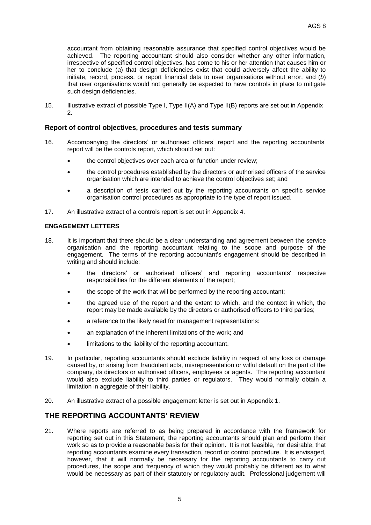accountant from obtaining reasonable assurance that specified control objectives would be achieved. The reporting accountant should also consider whether any other information, irrespective of specified control objectives, has come to his or her attention that causes him or her to conclude (*a*) that design deficiencies exist that could adversely affect the ability to initiate, record, process, or report financial data to user organisations without error, and (*b*) that user organisations would not generally be expected to have controls in place to mitigate such design deficiencies.

15. Illustrative extract of possible Type I, Type II(A) and Type II(B) reports are set out in Appendix  $\mathcal{L}$ 

# **Report of control objectives, procedures and tests summary**

- 16. Accompanying the directors' or authorised officers' report and the reporting accountants' report will be the controls report, which should set out:
	- the control objectives over each area or function under review;
	- the control procedures established by the directors or authorised officers of the service organisation which are intended to achieve the control objectives set; and
	- a description of tests carried out by the reporting accountants on specific service organisation control procedures as appropriate to the type of report issued.
- 17. An illustrative extract of a controls report is set out in Appendix 4.

#### **ENGAGEMENT LETTERS**

- 18. It is important that there should be a clear understanding and agreement between the service organisation and the reporting accountant relating to the scope and purpose of the engagement. The terms of the reporting accountant's engagement should be described in writing and should include:
	- the directors' or authorised officers' and reporting accountants' respective responsibilities for the different elements of the report;
	- the scope of the work that will be performed by the reporting accountant;
	- the agreed use of the report and the extent to which, and the context in which, the report may be made available by the directors or authorised officers to third parties;
	- a reference to the likely need for management representations:
	- an explanation of the inherent limitations of the work; and
	- limitations to the liability of the reporting accountant.
- 19. In particular, reporting accountants should exclude liability in respect of any loss or damage caused by, or arising from fraudulent acts, misrepresentation or wilful default on the part of the company, its directors or authorised officers, employees or agents. The reporting accountant would also exclude liability to third parties or regulators. They would normally obtain a limitation in aggregate of their liability.
- 20. An illustrative extract of a possible engagement letter is set out in Appendix 1.

# **THE REPORTING ACCOUNTANTS' REVIEW**

21. Where reports are referred to as being prepared in accordance with the framework for reporting set out in this Statement, the reporting accountants should plan and perform their work so as to provide a reasonable basis for their opinion. It is not feasible, nor desirable, that reporting accountants examine every transaction, record or control procedure. It is envisaged, however, that it will normally be necessary for the reporting accountants to carry out procedures, the scope and frequency of which they would probably be different as to what would be necessary as part of their statutory or regulatory audit. Professional judgement will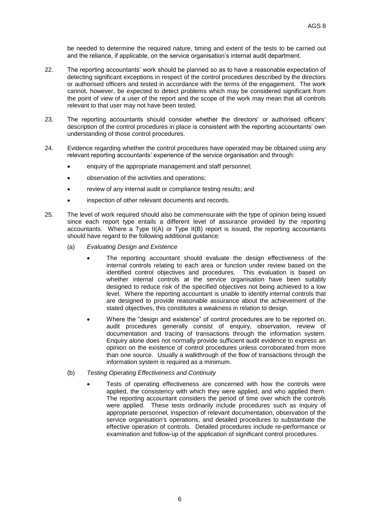be needed to determine the required nature, timing and extent of the tests to be carried out and the reliance, if applicable, on the service organisation's internal audit department.

- 22. The reporting accountants' work should be planned so as to have a reasonable expectation of detecting significant exceptions in respect of the control procedures described by the directors or authorised officers and tested in accordance with the terms of the engagement. The work cannot, however, be expected to detect problems which may be considered significant from the point of view of a user of the report and the scope of the work may mean that all controls relevant to that user may not have been tested.
- 23. The reporting accountants should consider whether the directors' or authorised officers' description of the control procedures in place is consistent with the reporting accountants' own understanding of those control procedures.
- 24. Evidence regarding whether the control procedures have operated may be obtained using any relevant reporting accountants' experience of the service organisation and through:
	- enquiry of the appropriate management and staff personnel;
	- observation of the activities and operations;
	- review of any internal audit or compliance testing results; and
	- **•** inspection of other relevant documents and records.
- 25. The level of work required should also be commensurate with the type of opinion being issued since each report type entails a different level of assurance provided by the reporting accountants. Where a Type II(A) or Type II(B) report is issued, the reporting accountants should have regard to the following additional guidance:
	- (a) *Evaluating Design and Existence*
		- The reporting accountant should evaluate the design effectiveness of the internal controls relating to each area or function under review based on the identified control objectives and procedures. This evaluation is based on whether internal controls at the service organisation have been suitably designed to reduce risk of the specified objectives not being achieved to a low level. Where the reporting accountant is unable to identify internal controls that are designed to provide reasonable assurance about the achievement of the stated objectives, this constitutes a weakness in relation to design.
		- Where the "design and existence" of control procedures are to be reported on, audit procedures generally consist of enquiry, observation, review of documentation and tracing of transactions through the information system. Enquiry alone does not normally provide sufficient audit evidence to express an opinion on the existence of control procedures unless corroborated from more than one source. Usually a walkthrough of the flow of transactions through the information system is required as a minimum.
	- (b) *Testing Operating Effectiveness and Continuity*
		- Tests of operating effectiveness are concerned with how the controls were applied, the consistency with which they were applied, and who applied them. The reporting accountant considers the period of time over which the controls were applied. These tests ordinarily include procedures such as inquiry of appropriate personnel, inspection of relevant documentation, observation of the service organisation's operations, and detailed procedures to substantiate the effective operation of controls. Detailed procedures include re-performance or examination and follow-up of the application of significant control procedures.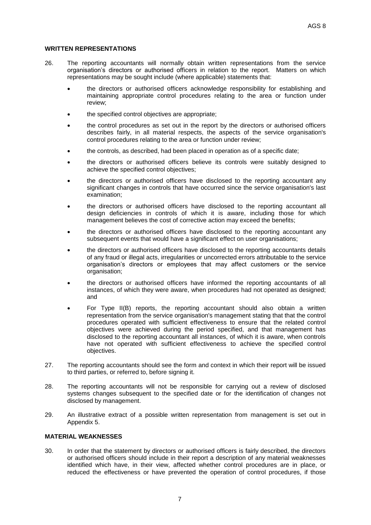# **WRITTEN REPRESENTATIONS**

- 26. The reporting accountants will normally obtain written representations from the service organisation's directors or authorised officers in relation to the report. Matters on which representations may be sought include (where applicable) statements that:
	- the directors or authorised officers acknowledge responsibility for establishing and maintaining appropriate control procedures relating to the area or function under review;
	- the specified control objectives are appropriate;
	- the control procedures as set out in the report by the directors or authorised officers describes fairly, in all material respects, the aspects of the service organisation's control procedures relating to the area or function under review;
	- the controls, as described, had been placed in operation as of a specific date;
	- the directors or authorised officers believe its controls were suitably designed to achieve the specified control objectives;
	- the directors or authorised officers have disclosed to the reporting accountant any significant changes in controls that have occurred since the service organisation's last examination;
	- the directors or authorised officers have disclosed to the reporting accountant all design deficiencies in controls of which it is aware, including those for which management believes the cost of corrective action may exceed the benefits;
	- the directors or authorised officers have disclosed to the reporting accountant any subsequent events that would have a significant effect on user organisations;
	- the directors or authorised officers have disclosed to the reporting accountants details of any fraud or illegal acts, irregularities or uncorrected errors attributable to the service organisation's directors or employees that may affect customers or the service organisation;
	- the directors or authorised officers have informed the reporting accountants of all instances, of which they were aware, when procedures had not operated as designed; and
	- For Type II(B) reports, the reporting accountant should also obtain a written representation from the service organisation's management stating that that the control procedures operated with sufficient effectiveness to ensure that the related control objectives were achieved during the period specified, and that management has disclosed to the reporting accountant all instances, of which it is aware, when controls have not operated with sufficient effectiveness to achieve the specified control objectives.
- 27. The reporting accountants should see the form and context in which their report will be issued to third parties, or referred to, before signing it.
- 28. The reporting accountants will not be responsible for carrying out a review of disclosed systems changes subsequent to the specified date or for the identification of changes not disclosed by management.
- 29. An illustrative extract of a possible written representation from management is set out in Appendix 5.

# **MATERIAL WEAKNESSES**

30. In order that the statement by directors or authorised officers is fairly described, the directors or authorised officers should include in their report a description of any material weaknesses identified which have, in their view, affected whether control procedures are in place, or reduced the effectiveness or have prevented the operation of control procedures, if those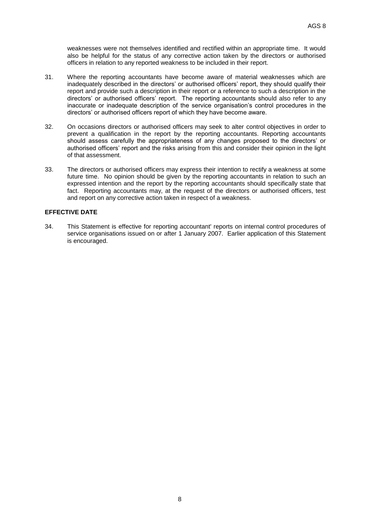weaknesses were not themselves identified and rectified within an appropriate time. It would also be helpful for the status of any corrective action taken by the directors or authorised officers in relation to any reported weakness to be included in their report.

- 31. Where the reporting accountants have become aware of material weaknesses which are inadequately described in the directors' or authorised officers' report, they should qualify their report and provide such a description in their report or a reference to such a description in the directors' or authorised officers' report. The reporting accountants should also refer to any inaccurate or inadequate description of the service organisation's control procedures in the directors' or authorised officers report of which they have become aware.
- 32. On occasions directors or authorised officers may seek to alter control objectives in order to prevent a qualification in the report by the reporting accountants. Reporting accountants should assess carefully the appropriateness of any changes proposed to the directors' or authorised officers' report and the risks arising from this and consider their opinion in the light of that assessment.
- 33. The directors or authorised officers may express their intention to rectify a weakness at some future time. No opinion should be given by the reporting accountants in relation to such an expressed intention and the report by the reporting accountants should specifically state that fact. Reporting accountants may, at the request of the directors or authorised officers, test and report on any corrective action taken in respect of a weakness.

# **EFFECTIVE DATE**

34. This Statement is effective for reporting accountant' reports on internal control procedures of service organisations issued on or after 1 January 2007. Earlier application of this Statement is encouraged.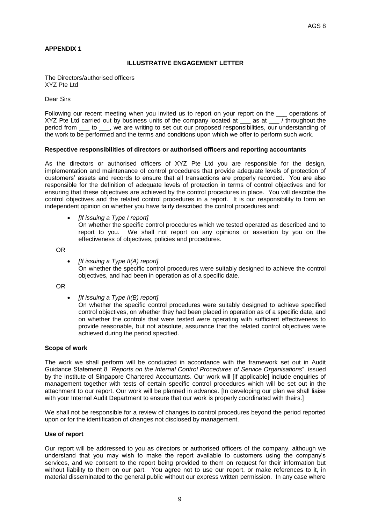# **APPENDIX 1**

# **ILLUSTRATIVE ENGAGEMENT LETTER**

The Directors/authorised officers XYZ Pte Ltd

Dear Sirs

Following our recent meeting when you invited us to report on your report on the  $\_\_$  operations of XYZ Pte Ltd carried out by business units of the company located at as at / throughout the XYZ Pte Ltd carried out by business units of the company located at period from to we are writing to set out our proposed responsibilities, our understanding of the work to be performed and the terms and conditions upon which we offer to perform such work.

# **Respective responsibilities of directors or authorised officers and reporting accountants**

As the directors or authorised officers of XYZ Pte Ltd you are responsible for the design, implementation and maintenance of control procedures that provide adequate levels of protection of customers' assets and records to ensure that all transactions are properly recorded. You are also responsible for the definition of adequate levels of protection in terms of control objectives and for ensuring that these objectives are achieved by the control procedures in place. You will describe the control objectives and the related control procedures in a report. It is our responsibility to form an independent opinion on whether you have fairly described the control procedures and:

*[If issuing a Type I report]*

On whether the specific control procedures which we tested operated as described and to report to you. We shall not report on any opinions or assertion by you on the effectiveness of objectives, policies and procedures.

OR

 *[If issuing a Type II(A) report]* On whether the specific control procedures were suitably designed to achieve the control objectives, and had been in operation as of a specific date.

OR

*[If issuing a Type II(B) report]*

On whether the specific control procedures were suitably designed to achieve specified control objectives, on whether they had been placed in operation as of a specific date, and on whether the controls that were tested were operating with sufficient effectiveness to provide reasonable, but not absolute, assurance that the related control objectives were achieved during the period specified.

#### **Scope of work**

The work we shall perform will be conducted in accordance with the framework set out in Audit Guidance Statement 8 "*Reports on the Internal Control Procedures of Service Organisations*", issued by the Institute of Singapore Chartered Accountants. Our work will [if applicable] include enquiries of management together with tests of certain specific control procedures which will be set out in the attachment to our report. Our work will be planned in advance. [In developing our plan we shall liaise with your Internal Audit Department to ensure that our work is properly coordinated with theirs.]

We shall not be responsible for a review of changes to control procedures beyond the period reported upon or for the identification of changes not disclosed by management.

#### **Use of report**

Our report will be addressed to you as directors or authorised officers of the company, although we understand that you may wish to make the report available to customers using the company's services, and we consent to the report being provided to them on request for their information but without liability to them on our part. You agree not to use our report, or make references to it, in material disseminated to the general public without our express written permission. In any case where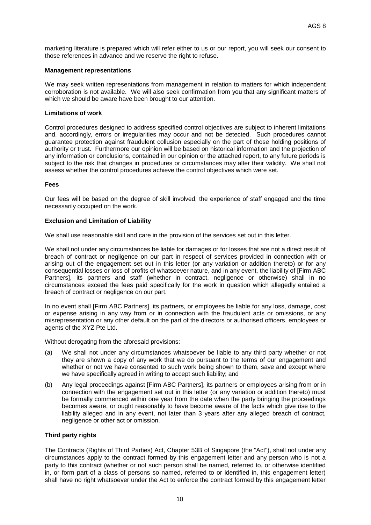marketing literature is prepared which will refer either to us or our report, you will seek our consent to those references in advance and we reserve the right to refuse.

#### **Management representations**

We may seek written representations from management in relation to matters for which independent corroboration is not available. We will also seek confirmation from you that any significant matters of which we should be aware have been brought to our attention.

#### **Limitations of work**

Control procedures designed to address specified control objectives are subject to inherent limitations and, accordingly, errors or irregularities may occur and not be detected. Such procedures cannot guarantee protection against fraudulent collusion especially on the part of those holding positions of authority or trust. Furthermore our opinion will be based on historical information and the projection of any information or conclusions, contained in our opinion or the attached report, to any future periods is subject to the risk that changes in procedures or circumstances may alter their validity. We shall not assess whether the control procedures achieve the control objectives which were set.

#### **Fees**

Our fees will be based on the degree of skill involved, the experience of staff engaged and the time necessarily occupied on the work.

#### **Exclusion and Limitation of Liability**

We shall use reasonable skill and care in the provision of the services set out in this letter.

We shall not under any circumstances be liable for damages or for losses that are not a direct result of breach of contract or negligence on our part in respect of services provided in connection with or arising out of the engagement set out in this letter (or any variation or addition thereto) or for any consequential losses or loss of profits of whatsoever nature, and in any event, the liability of [Firm ABC Partners], its partners and staff (whether in contract, negligence or otherwise) shall in no circumstances exceed the fees paid specifically for the work in question which allegedly entailed a breach of contract or negligence on our part.

In no event shall [Firm ABC Partners], its partners, or employees be liable for any loss, damage, cost or expense arising in any way from or in connection with the fraudulent acts or omissions, or any misrepresentation or any other default on the part of the directors or authorised officers, employees or agents of the XYZ Pte Ltd.

Without derogating from the aforesaid provisions:

- (a) We shall not under any circumstances whatsoever be liable to any third party whether or not they are shown a copy of any work that we do pursuant to the terms of our engagement and whether or not we have consented to such work being shown to them, save and except where we have specifically agreed in writing to accept such liability; and
- (b) Any legal proceedings against [Firm ABC Partners], its partners or employees arising from or in connection with the engagement set out in this letter (or any variation or addition thereto) must be formally commenced within one year from the date when the party bringing the proceedings becomes aware, or ought reasonably to have become aware of the facts which give rise to the liability alleged and in any event, not later than 3 years after any alleged breach of contract, negligence or other act or omission.

#### **Third party rights**

The Contracts (Rights of Third Parties) Act, Chapter 53B of Singapore (the "Act"), shall not under any circumstances apply to the contract formed by this engagement letter and any person who is not a party to this contract (whether or not such person shall be named, referred to, or otherwise identified in, or form part of a class of persons so named, referred to or identified in, this engagement letter) shall have no right whatsoever under the Act to enforce the contract formed by this engagement letter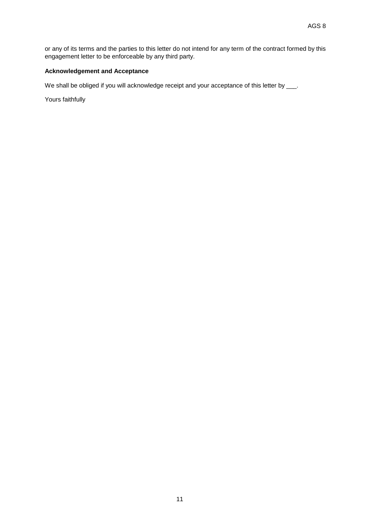or any of its terms and the parties to this letter do not intend for any term of the contract formed by this engagement letter to be enforceable by any third party.

# **Acknowledgement and Acceptance**

We shall be obliged if you will acknowledge receipt and your acceptance of this letter by \_\_\_.

Yours faithfully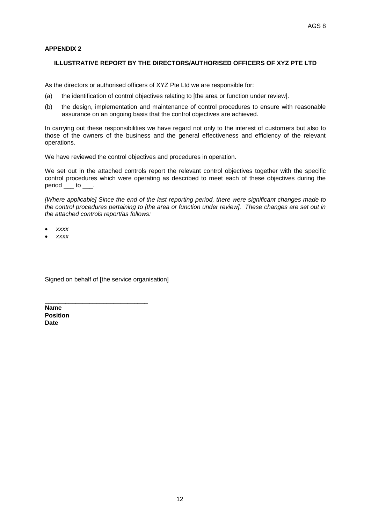# **APPENDIX 2**

# **ILLUSTRATIVE REPORT BY THE DIRECTORS/AUTHORISED OFFICERS OF XYZ PTE LTD**

As the directors or authorised officers of XYZ Pte Ltd we are responsible for:

- (a) the identification of control objectives relating to [the area or function under review].
- (b) the design, implementation and maintenance of control procedures to ensure with reasonable assurance on an ongoing basis that the control objectives are achieved.

In carrying out these responsibilities we have regard not only to the interest of customers but also to those of the owners of the business and the general effectiveness and efficiency of the relevant operations.

We have reviewed the control objectives and procedures in operation.

We set out in the attached controls report the relevant control objectives together with the specific control procedures which were operating as described to meet each of these objectives during the  $period$  \_\_\_ to \_\_\_.

*[Where applicable] Since the end of the last reporting period, there were significant changes made to the control procedures pertaining to [the area or function under review]. These changes are set out in the attached controls report/as follows:*

- *xxxx*
- *xxxx*

Signed on behalf of [the service organisation]

\_\_\_\_\_\_\_\_\_\_\_\_\_\_\_\_\_\_\_\_\_\_\_\_\_\_\_\_\_\_

**Name Position Date**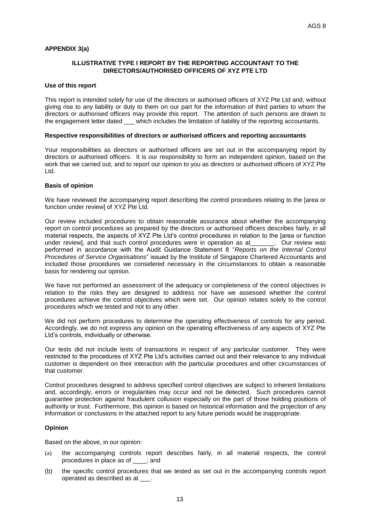# **APPENDIX 3(a)**

# **ILLUSTRATIVE TYPE I REPORT BY THE REPORTING ACCOUNTANT TO THE DIRECTORS/AUTHORISED OFFICERS OF XYZ PTE LTD**

#### **Use of this report**

This report is intended solely for use of the directors or authorised officers of XYZ Pte Ltd and, without giving rise to any liability or duty to them on our part for the information of third parties to whom the directors or authorised officers may provide this report. The attention of such persons are drawn to the engagement letter dated \_\_\_ which includes the limitation of liability of the reporting accountants.

#### **Respective responsibilities of directors or authorised officers and reporting accountants**

Your responsibilities as directors or authorised officers are set out in the accompanying report by directors or authorised officers. It is our responsibility to form an independent opinion, based on the work that we carried out, and to report our opinion to you as directors or authorised officers of XYZ Pte Ltd.

#### **Basis of opinion**

We have reviewed the accompanying report describing the control procedures relating to the [area or function under review] of XYZ Pte Ltd.

Our review included procedures to obtain reasonable assurance about whether the accompanying report on control procedures as prepared by the directors or authorised officers describes fairly, in all material respects, the aspects of XYZ Pte Ltd's control procedures in relation to the [area or function under review], and that such control procedures were in operation as at\_\_\_\_\_\_\_. Our review was performed in accordance with the Audit Guidance Statement 8 "*Reports on the Internal Control Procedures of Service Organisations*" issued by the Institute of Singapore Chartered Accountants and included those procedures we considered necessary in the circumstances to obtain a reasonable basis for rendering our opinion.

We have not performed an assessment of the adequacy or completeness of the control objectives in relation to the risks they are designed to address nor have we assessed whether the control procedures achieve the control objectives which were set. Our opinion relates solely to the control procedures which we tested and not to any other.

We did not perform procedures to determine the operating effectiveness of controls for any period. Accordingly, we do not express any opinion on the operating effectiveness of any aspects of XYZ Pte Ltd's controls, individually or otherwise.

Our tests did not include tests of transactions in respect of any particular customer. They were restricted to the procedures of XYZ Pte Ltd's activities carried out and their relevance to any individual customer is dependent on their interaction with the particular procedures and other circumstances of that customer.

Control procedures designed to address specified control objectives are subject to inherent limitations and, accordingly, errors or irregularities may occur and not be detected. Such procedures cannot guarantee protection against fraudulent collusion especially on the part of those holding positions of authority or trust. Furthermore, this opinion is based on historical information and the projection of any information or conclusions in the attached report to any future periods would be inappropriate.

#### **Opinion**

Based on the above, in our opinion:

- (a) the accompanying controls report describes fairly, in all material respects, the control procedures in place as of \_\_\_\_; and
- (b) the specific control procedures that we tested as set out in the accompanying controls report operated as described as at \_\_\_.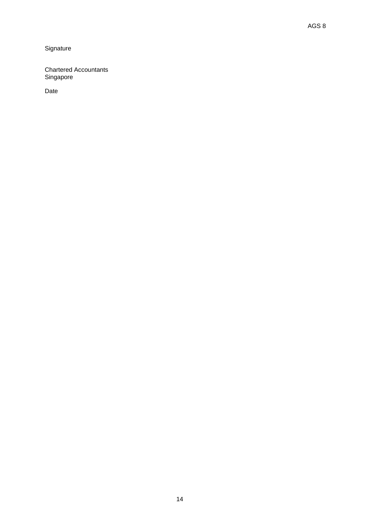# **Signature**

Chartered Accountants Singapore

Date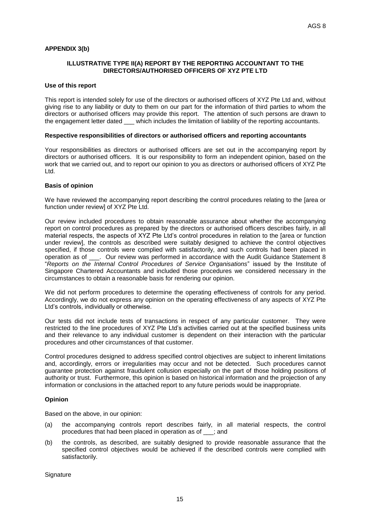# **APPENDIX 3(b)**

#### **ILLUSTRATIVE TYPE II(A) REPORT BY THE REPORTING ACCOUNTANT TO THE DIRECTORS/AUTHORISED OFFICERS OF XYZ PTE LTD**

#### **Use of this report**

This report is intended solely for use of the directors or authorised officers of XYZ Pte Ltd and, without giving rise to any liability or duty to them on our part for the information of third parties to whom the directors or authorised officers may provide this report. The attention of such persons are drawn to the engagement letter dated \_\_\_ which includes the limitation of liability of the reporting accountants.

#### **Respective responsibilities of directors or authorised officers and reporting accountants**

Your responsibilities as directors or authorised officers are set out in the accompanying report by directors or authorised officers. It is our responsibility to form an independent opinion, based on the work that we carried out, and to report our opinion to you as directors or authorised officers of XYZ Pte Ltd.

#### **Basis of opinion**

We have reviewed the accompanying report describing the control procedures relating to the [area or function under review] of XYZ Pte Ltd.

Our review included procedures to obtain reasonable assurance about whether the accompanying report on control procedures as prepared by the directors or authorised officers describes fairly, in all material respects, the aspects of XYZ Pte Ltd's control procedures in relation to the [area or function under review], the controls as described were suitably designed to achieve the control objectives specified, if those controls were complied with satisfactorily, and such controls had been placed in operation as of . Our review was performed in accordance with the Audit Guidance Statement 8 "*Reports on the Internal Control Procedures of Service Organisations*" issued by the Institute of Singapore Chartered Accountants and included those procedures we considered necessary in the circumstances to obtain a reasonable basis for rendering our opinion.

We did not perform procedures to determine the operating effectiveness of controls for any period. Accordingly, we do not express any opinion on the operating effectiveness of any aspects of XYZ Pte Ltd's controls, individually or otherwise.

Our tests did not include tests of transactions in respect of any particular customer. They were restricted to the line procedures of XYZ Pte Ltd's activities carried out at the specified business units and their relevance to any individual customer is dependent on their interaction with the particular procedures and other circumstances of that customer.

Control procedures designed to address specified control objectives are subject to inherent limitations and, accordingly, errors or irregularities may occur and not be detected. Such procedures cannot guarantee protection against fraudulent collusion especially on the part of those holding positions of authority or trust. Furthermore, this opinion is based on historical information and the projection of any information or conclusions in the attached report to any future periods would be inappropriate.

#### **Opinion**

Based on the above, in our opinion:

- (a) the accompanying controls report describes fairly, in all material respects, the control procedures that had been placed in operation as of \_\_\_; and
- (b) the controls, as described, are suitably designed to provide reasonable assurance that the specified control objectives would be achieved if the described controls were complied with satisfactorily.

**Signature**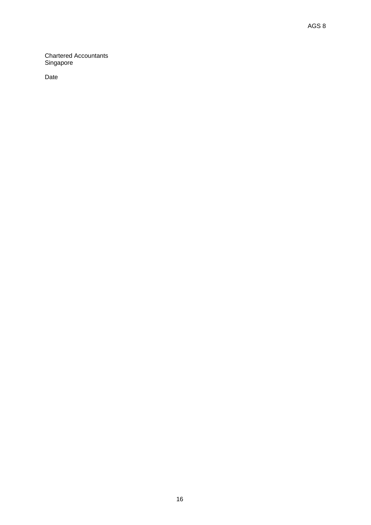Chartered Accountants Singapore

Date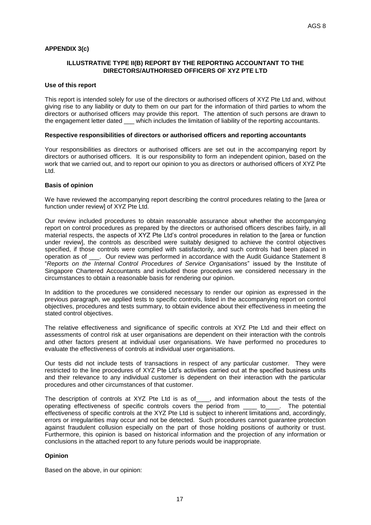# **APPENDIX 3(c)**

# **ILLUSTRATIVE TYPE II(B) REPORT BY THE REPORTING ACCOUNTANT TO THE DIRECTORS/AUTHORISED OFFICERS OF XYZ PTE LTD**

#### **Use of this report**

This report is intended solely for use of the directors or authorised officers of XYZ Pte Ltd and, without giving rise to any liability or duty to them on our part for the information of third parties to whom the directors or authorised officers may provide this report. The attention of such persons are drawn to the engagement letter dated \_\_\_ which includes the limitation of liability of the reporting accountants.

#### **Respective responsibilities of directors or authorised officers and reporting accountants**

Your responsibilities as directors or authorised officers are set out in the accompanying report by directors or authorised officers. It is our responsibility to form an independent opinion, based on the work that we carried out, and to report our opinion to you as directors or authorised officers of XYZ Pte Ltd.

#### **Basis of opinion**

We have reviewed the accompanying report describing the control procedures relating to the [area or function under review] of XYZ Pte Ltd.

Our review included procedures to obtain reasonable assurance about whether the accompanying report on control procedures as prepared by the directors or authorised officers describes fairly, in all material respects, the aspects of XYZ Pte Ltd's control procedures in relation to the [area or function under review], the controls as described were suitably designed to achieve the control objectives specified, if those controls were complied with satisfactorily, and such controls had been placed in operation as of . Our review was performed in accordance with the Audit Guidance Statement 8 "*Reports on the Internal Control Procedures of Service Organisations*" issued by the Institute of Singapore Chartered Accountants and included those procedures we considered necessary in the circumstances to obtain a reasonable basis for rendering our opinion.

In addition to the procedures we considered necessary to render our opinion as expressed in the previous paragraph, we applied tests to specific controls, listed in the accompanying report on control objectives, procedures and tests summary, to obtain evidence about their effectiveness in meeting the stated control objectives.

The relative effectiveness and significance of specific controls at XYZ Pte Ltd and their effect on assessments of control risk at user organisations are dependent on their interaction with the controls and other factors present at individual user organisations. We have performed no procedures to evaluate the effectiveness of controls at individual user organisations.

Our tests did not include tests of transactions in respect of any particular customer. They were restricted to the line procedures of XYZ Pte Ltd's activities carried out at the specified business units and their relevance to any individual customer is dependent on their interaction with the particular procedures and other circumstances of that customer.

The description of controls at XYZ Pte Ltd is as of \_\_\_, and information about the tests of the operating effectiveness of specific controls covers the period from to the potential effectiveness of specific controls at the XYZ Pte Ltd is subject to inherent limitations and, accordingly, errors or irregularities may occur and not be detected. Such procedures cannot guarantee protection against fraudulent collusion especially on the part of those holding positions of authority or trust. Furthermore, this opinion is based on historical information and the projection of any information or conclusions in the attached report to any future periods would be inappropriate.

#### **Opinion**

Based on the above, in our opinion: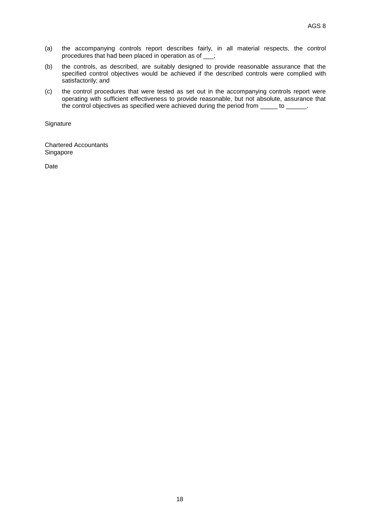- (a) the accompanying controls report describes fairly, in all material respects, the control procedures that had been placed in operation as of \_\_\_;
- (b) the controls, as described, are suitably designed to provide reasonable assurance that the specified control objectives would be achieved if the described controls were complied with satisfactorily; and
- (c) the control procedures that were tested as set out in the accompanying controls report were operating with sufficient effectiveness to provide reasonable, but not absolute, assurance that the control objectives as specified were achieved during the period from \_\_\_\_\_ to \_\_\_\_\_\_.

**Signature** 

Chartered Accountants Singapore

Date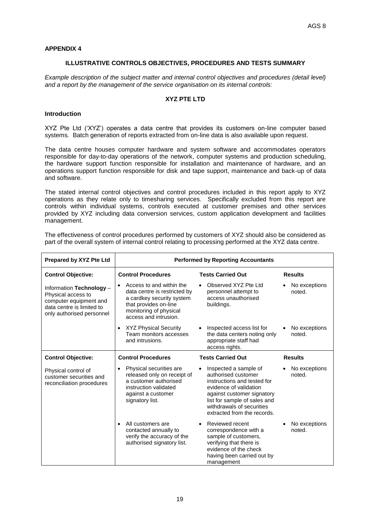# **APPENDIX 4**

#### **ILLUSTRATIVE CONTROLS OBJECTIVES, PROCEDURES AND TESTS SUMMARY**

*Example description of the subject matter and internal control objectives and procedures (detail level) and a report by the management of the service organisation on its internal controls:*

# **XYZ PTE LTD**

# **Introduction**

XYZ Pte Ltd ('XYZ') operates a data centre that provides its customers on-line computer based systems*.* Batch generation of reports extracted from on-line data is also available upon request.

The data centre houses computer hardware and system software and accommodates operators responsible for day-to-day operations of the network, computer systems and production scheduling, the hardware support function responsible for installation and maintenance of hardware, and an operations support function responsible for disk and tape support, maintenance and back-up of data and software.

The stated internal control objectives and control procedures included in this report apply to XYZ operations as they relate only to timesharing services. Specifically excluded from this report are controls within individual systems, controls executed at customer premises and other services provided by XYZ including data conversion services, custom application development and facilities management.

| The effectiveness of control procedures performed by customers of XYZ should also be considered as      |
|---------------------------------------------------------------------------------------------------------|
| part of the overall system of internal control relating to processing performed at the XYZ data centre. |

| Prepared by XYZ Pte Ltd                                                                                                            | <b>Performed by Reporting Accountants</b>                                                                                                                         |                                                                                                                                                                                                                                              |                         |
|------------------------------------------------------------------------------------------------------------------------------------|-------------------------------------------------------------------------------------------------------------------------------------------------------------------|----------------------------------------------------------------------------------------------------------------------------------------------------------------------------------------------------------------------------------------------|-------------------------|
| <b>Control Objective:</b>                                                                                                          | <b>Control Procedures</b>                                                                                                                                         | <b>Tests Carried Out</b>                                                                                                                                                                                                                     | <b>Results</b>          |
| Information Technology -<br>Physical access to<br>computer equipment and<br>data centre is limited to<br>only authorised personnel | Access to and within the<br>data centre is restricted by<br>a cardkey security system<br>that provides on-line<br>monitoring of physical<br>access and intrusion. | Observed XYZ Pte Ltd<br>$\bullet$<br>personnel attempt to<br>access unauthorised<br>buildings.                                                                                                                                               | No exceptions<br>noted. |
|                                                                                                                                    | <b>XYZ Physical Security</b><br>Team monitors accesses<br>and intrusions.                                                                                         | Inspected access list for<br>$\bullet$<br>the data centers noting only<br>appropriate staff had<br>access rights.                                                                                                                            | No exceptions<br>noted. |
| <b>Control Objective:</b>                                                                                                          | <b>Control Procedures</b>                                                                                                                                         | <b>Tests Carried Out</b>                                                                                                                                                                                                                     | <b>Results</b>          |
| Physical control of<br>customer securities and<br>reconciliation procedures                                                        | Physical securities are<br>released only on receipt of<br>a customer authorised<br>instruction validated<br>against a customer<br>signatory list.                 | Inspected a sample of<br>$\bullet$<br>authorised customer<br>instructions and tested for<br>evidence of validation<br>against customer signatory<br>list for sample of sales and<br>withdrawals of securities<br>extracted from the records. | No exceptions<br>noted. |
|                                                                                                                                    | All customers are<br>$\bullet$<br>contacted annually to<br>verify the accuracy of the<br>authorised signatory list.                                               | Reviewed recent<br>correspondence with a<br>sample of customers,<br>verifying that there is<br>evidence of the check<br>having been carried out by<br>management                                                                             | No exceptions<br>noted. |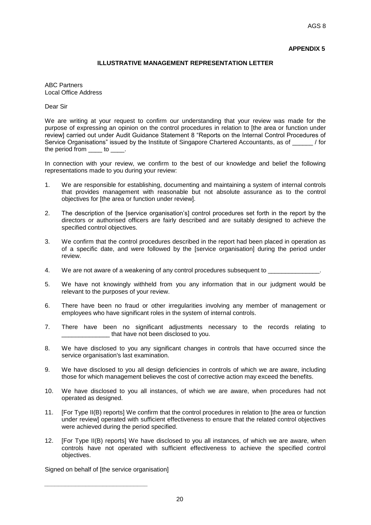# **APPENDIX 5**

# **ILLUSTRATIVE MANAGEMENT REPRESENTATION LETTER**

ABC Partners Local Office Address

Dear Sir

We are writing at your request to confirm our understanding that your review was made for the purpose of expressing an opinion on the control procedures in relation to [the area or function under review] carried out under Audit Guidance Statement 8 "Reports on the Internal Control Procedures of Service Organisations" issued by the Institute of Singapore Chartered Accountants, as of  $\overline{\phantom{a}}$  / for the period from to to the period from the state of the state of the state of the state of the state of the state of the state of the state of the state of the state of the state of the state of the state of the state of th

In connection with your review, we confirm to the best of our knowledge and belief the following representations made to you during your review:

- 1. We are responsible for establishing, documenting and maintaining a system of internal controls that provides management with reasonable but not absolute assurance as to the control objectives for [the area or function under review].
- 2. The description of the [service organisation's] control procedures set forth in the report by the directors or authorised officers are fairly described and are suitably designed to achieve the specified control objectives.
- 3. We confirm that the control procedures described in the report had been placed in operation as of a specific date, and were followed by the [service organisation] during the period under review.
- 4. We are not aware of a weakening of any control procedures subsequent to
- 5. We have not knowingly withheld from you any information that in our judgment would be relevant to the purposes of your review.
- 6. There have been no fraud or other irregularities involving any member of management or employees who have significant roles in the system of internal controls.
- 7. There have been no significant adjustments necessary to the records relating to that have not been disclosed to you.
- 8. We have disclosed to you any significant changes in controls that have occurred since the service organisation's last examination.
- 9. We have disclosed to you all design deficiencies in controls of which we are aware, including those for which management believes the cost of corrective action may exceed the benefits.
- 10. We have disclosed to you all instances, of which we are aware, when procedures had not operated as designed.
- 11. [For Type II(B) reports] We confirm that the control procedures in relation to [the area or function under review] operated with sufficient effectiveness to ensure that the related control objectives were achieved during the period specified.
- 12. [For Type II(B) reports] We have disclosed to you all instances, of which we are aware, when controls have not operated with sufficient effectiveness to achieve the specified control objectives.

Signed on behalf of [the service organisation]

*\_\_\_\_\_\_\_\_\_\_\_\_\_\_\_\_\_\_\_\_\_\_\_\_\_\_\_\_\_\_*